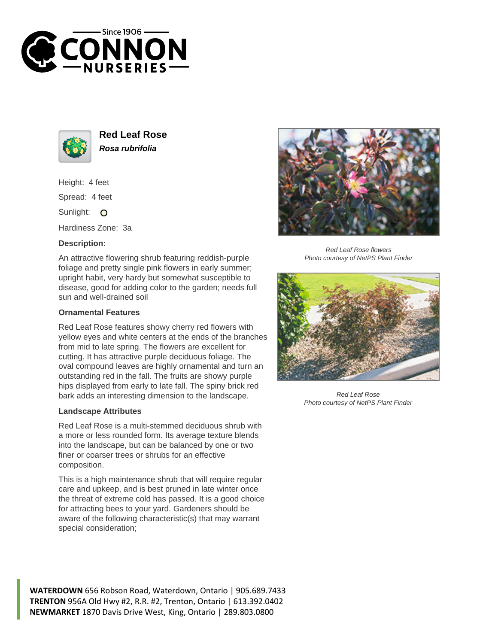



**Red Leaf Rose Rosa rubrifolia**

Height: 4 feet Spread: 4 feet

Sunlight: O

Hardiness Zone: 3a

## **Description:**

An attractive flowering shrub featuring reddish-purple foliage and pretty single pink flowers in early summer; upright habit, very hardy but somewhat susceptible to disease, good for adding color to the garden; needs full sun and well-drained soil

## **Ornamental Features**

Red Leaf Rose features showy cherry red flowers with yellow eyes and white centers at the ends of the branches from mid to late spring. The flowers are excellent for cutting. It has attractive purple deciduous foliage. The oval compound leaves are highly ornamental and turn an outstanding red in the fall. The fruits are showy purple hips displayed from early to late fall. The spiny brick red bark adds an interesting dimension to the landscape.

## **Landscape Attributes**

Red Leaf Rose is a multi-stemmed deciduous shrub with a more or less rounded form. Its average texture blends into the landscape, but can be balanced by one or two finer or coarser trees or shrubs for an effective composition.

This is a high maintenance shrub that will require regular care and upkeep, and is best pruned in late winter once the threat of extreme cold has passed. It is a good choice for attracting bees to your yard. Gardeners should be aware of the following characteristic(s) that may warrant special consideration;



Red Leaf Rose flowers Photo courtesy of NetPS Plant Finder



Red Leaf Rose Photo courtesy of NetPS Plant Finder

**WATERDOWN** 656 Robson Road, Waterdown, Ontario | 905.689.7433 **TRENTON** 956A Old Hwy #2, R.R. #2, Trenton, Ontario | 613.392.0402 **NEWMARKET** 1870 Davis Drive West, King, Ontario | 289.803.0800